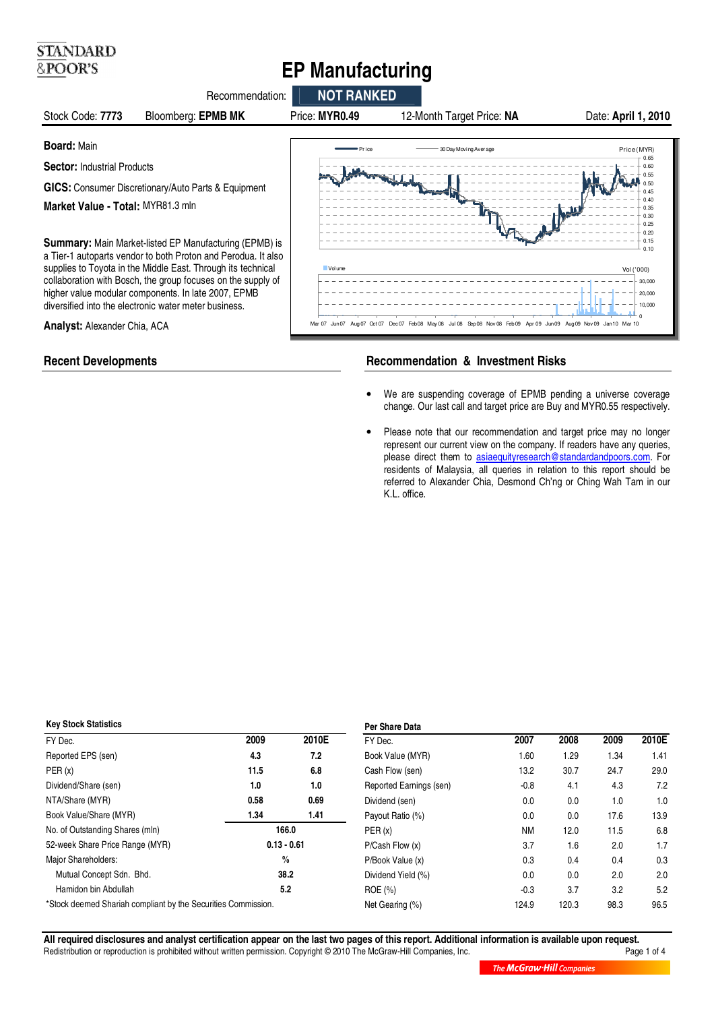# **EP Manufacturing**



**STANDARD** &POOR'S

# **Recent Developments The Commendation & Investment Risks Recommendation & Investment Risks**

- We are suspending coverage of EPMB pending a universe coverage change. Our last call and target price are Buy and MYR0.55 respectively.
- Please note that our recommendation and target price may no longer represent our current view on the company. If readers have any queries, please direct them to asiaequityresearch@standardandpoors.com. For residents of Malaysia, all queries in relation to this report should be referred to Alexander Chia, Desmond Ch'ng or Ching Wah Tam in our K.L. office.

#### **Key Stock Statistics**

| <b>Key Stock Statistics</b>                                   | Per Share Data |       |                         |           |       |      |       |
|---------------------------------------------------------------|----------------|-------|-------------------------|-----------|-------|------|-------|
| FY Dec.                                                       | 2009           | 2010E | FY Dec.                 | 2007      | 2008  | 2009 | 2010E |
| Reported EPS (sen)                                            | 4.3            | 7.2   | Book Value (MYR)        | 1.60      | 1.29  | 1.34 | 1.41  |
| PER(x)                                                        | 11.5           | 6.8   | Cash Flow (sen)         | 13.2      | 30.7  | 24.7 | 29.0  |
| Dividend/Share (sen)                                          | 1.0            | 1.0   | Reported Earnings (sen) | $-0.8$    | 4.1   | 4.3  | 7.2   |
| NTA/Share (MYR)                                               | 0.58           | 0.69  | Dividend (sen)          | 0.0       | 0.0   | 1.0  | 1.0   |
| Book Value/Share (MYR)                                        | 1.34           | 1.41  | Payout Ratio (%)        | 0.0       | 0.0   | 17.6 | 13.9  |
| No. of Outstanding Shares (mln)                               | 166.0          |       | PER(x)                  | <b>NM</b> | 12.0  | 11.5 | 6.8   |
| 52-week Share Price Range (MYR)                               | $0.13 - 0.61$  |       | P/Cash Flow(x)          | 3.7       | 1.6   | 2.0  | 1.7   |
| Major Shareholders:                                           | $\frac{0}{0}$  |       | P/Book Value (x)        | 0.3       | 0.4   | 0.4  | 0.3   |
| Mutual Concept Sdn. Bhd.                                      | 38.2           |       | Dividend Yield (%)      | 0.0       | 0.0   | 2.0  | 2.0   |
| Hamidon bin Abdullah                                          | 5.2            |       | ROE(% )                 | $-0.3$    | 3.7   | 3.2  | 5.2   |
| *Stock deemed Shariah compliant by the Securities Commission. |                |       | Net Gearing (%)         | 124.9     | 120.3 | 98.3 | 96.5  |
|                                                               |                |       |                         |           |       |      |       |

**All required disclosures and analyst certification appear on the last two pages of this report. Additional information is available upon request.** Redistribution or reproduction is prohibited without written permission. Copyright © 2010 The McGraw-Hill Companies, Inc.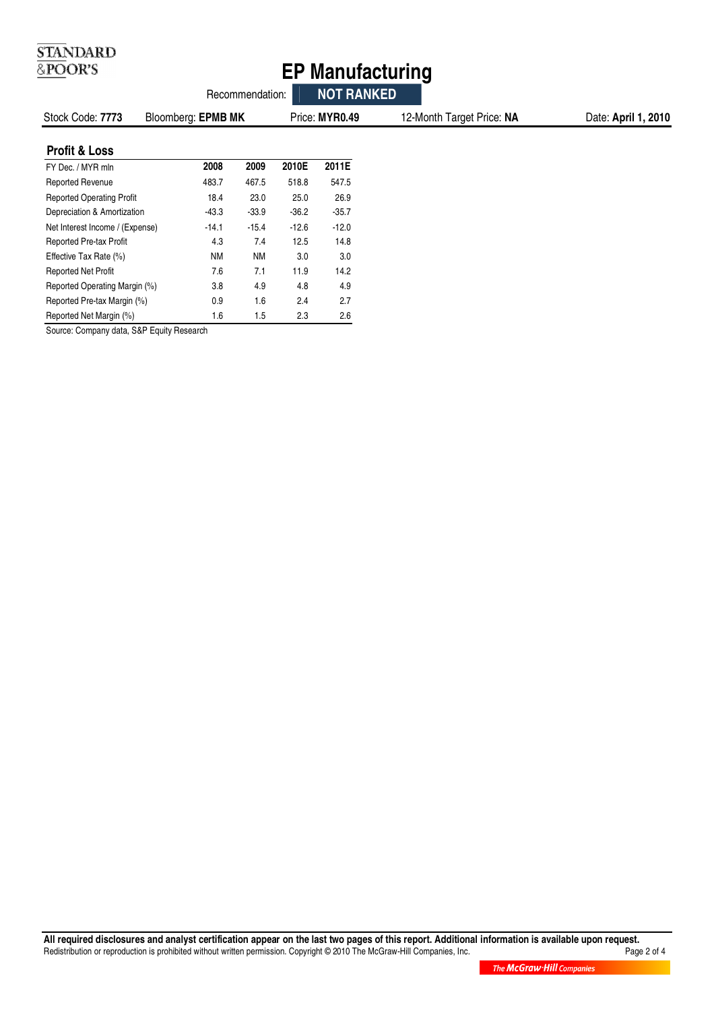| <b>STANDARD</b><br>&POOR'S<br><b>EP Manufacturing</b> |                    |                 |         |                   |                           |                     |  |
|-------------------------------------------------------|--------------------|-----------------|---------|-------------------|---------------------------|---------------------|--|
|                                                       |                    | Recommendation: |         | <b>NOT RANKED</b> |                           |                     |  |
| Stock Code: 7773                                      | Bloomberg: EPMB MK |                 |         | Price: MYR0.49    | 12-Month Target Price: NA | Date: April 1, 2010 |  |
| <b>Profit &amp; Loss</b>                              |                    |                 |         |                   |                           |                     |  |
| FY Dec. / MYR mln                                     | 2008               | 2009            | 2010E   | 2011E             |                           |                     |  |
| <b>Reported Revenue</b>                               | 483.7              | 467.5           | 518.8   | 547.5             |                           |                     |  |
| <b>Reported Operating Profit</b>                      | 18.4               | 23.0            | 25.0    | 26.9              |                           |                     |  |
| Depreciation & Amortization                           | $-43.3$            | $-33.9$         | $-36.2$ | $-35.7$           |                           |                     |  |
| Net Interest Income / (Expense)                       | $-14.1$            | $-15.4$         | $-12.6$ | $-12.0$           |                           |                     |  |
| Reported Pre-tax Profit                               | 4.3                | 7.4             | 12.5    | 14.8              |                           |                     |  |
| Effective Tax Rate (%)                                | <b>NM</b>          | <b>NM</b>       | 3.0     | 3.0               |                           |                     |  |
| <b>Reported Net Profit</b>                            | 7.6                | 7.1             | 11.9    | 14.2              |                           |                     |  |
| Reported Operating Margin (%)                         | 3.8                | 4.9             | 4.8     | 4.9               |                           |                     |  |
| Reported Pre-tax Margin (%)                           | 0.9                | 1.6             | 2.4     | 2.7               |                           |                     |  |
| Reported Net Margin (%)                               | 1.6                | 1.5             | 2.3     | 2.6               |                           |                     |  |

Source: Company data, S&P Equity Research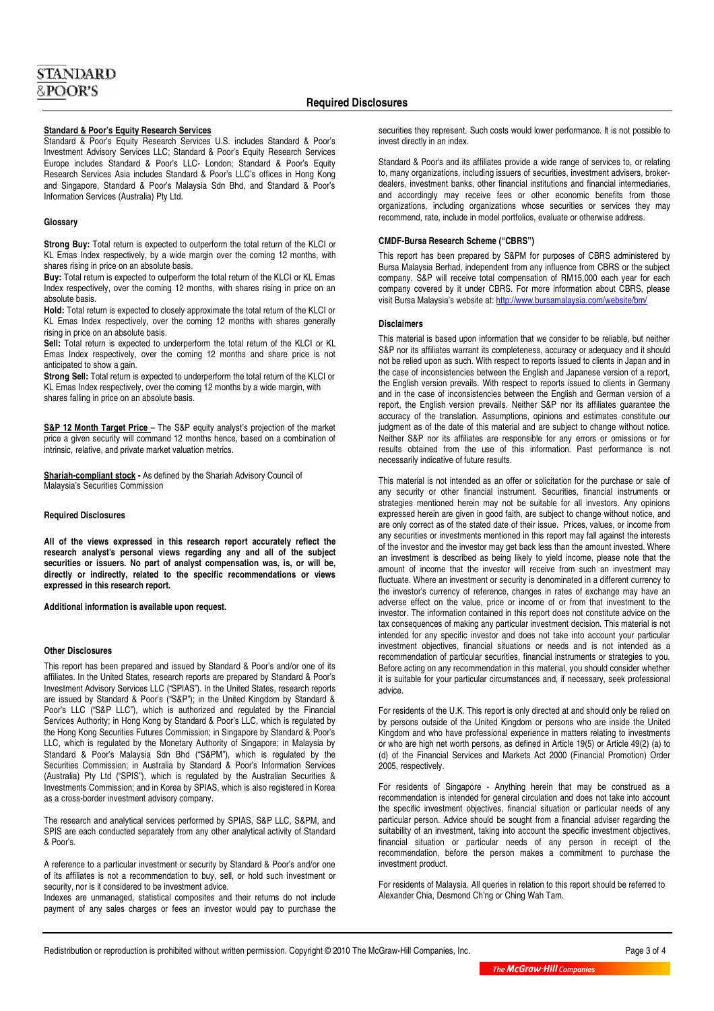# **Standard & Poor's Equity Research Services**

Standard & Poor's Equity Research Services U.S. includes Standard & Poor's Investment Advisory Services LLC; Standard & Poor's Equity Research Services Europe includes Standard & Poor's LLC- London; Standard & Poor's Equity Research Services Asia includes Standard & Poor's LLC's offices in Hong Kong and Singapore, Standard & Poor's Malaysia Sdn Bhd, and Standard & Poor's Information Services (Australia) Pty Ltd.

### **Glossary**

**Strong Buy:** Total return is expected to outperform the total return of the KLCI or KL Emas Index respectively, by a wide margin over the coming 12 months, with shares rising in price on an absolute basis.

**Buy:** Total return is expected to outperform the total return of the KLCI or KL Emas Index respectively, over the coming 12 months, with shares rising in price on an absolute basis.

**Hold:** Total return is expected to closely approximate the total return of the KLCI or KL Emas Index respectively, over the coming 12 months with shares generally rising in price on an absolute basis.

**Sell:** Total return is expected to underperform the total return of the KLCI or KL Emas Index respectively, over the coming 12 months and share price is not anticipated to show a gain.

**Strong Sell:** Total return is expected to underperform the total return of the KLCI or KL Emas Index respectively, over the coming 12 months by a wide margin, with shares falling in price on an absolute basis.

**S&P 12 Month Target Price** - The S&P equity analyst's projection of the market price a given security will command 12 months hence, based on a combination of intrinsic, relative, and private market valuation metrics.

**Shariah-compliant stock -** As defined by the Shariah Advisory Council of Malaysia's Securities Commission

#### **Required Disclosures**

**All of the views expressed in this research report accurately reflect the research analyst's personal views regarding any and all of the subject securities or issuers. No part of analyst compensation was, is, or will be, directly or indirectly, related to the specific recommendations or views expressed in this research report.** 

**Additional information is available upon request.** 

## **Other Disclosures**

This report has been prepared and issued by Standard & Poor's and/or one of its affiliates. In the United States, research reports are prepared by Standard & Poor's Investment Advisory Services LLC ("SPIAS"). In the United States, research reports are issued by Standard & Poor's ("S&P"); in the United Kingdom by Standard & Poor's LLC ("S&P LLC"), which is authorized and regulated by the Financial Services Authority; in Hong Kong by Standard & Poor's LLC, which is regulated by the Hong Kong Securities Futures Commission; in Singapore by Standard & Poor's LLC, which is regulated by the Monetary Authority of Singapore; in Malaysia by Standard & Poor's Malaysia Sdn Bhd ("S&PM"), which is regulated by the Securities Commission; in Australia by Standard & Poor's Information Services (Australia) Pty Ltd ("SPIS"), which is regulated by the Australian Securities & Investments Commission; and in Korea by SPIAS, which is also registered in Korea as a cross-border investment advisory company.

The research and analytical services performed by SPIAS, S&P LLC, S&PM, and SPIS are each conducted separately from any other analytical activity of Standard & Poor's.

A reference to a particular investment or security by Standard & Poor's and/or one of its affiliates is not a recommendation to buy, sell, or hold such investment or security, nor is it considered to be investment advice.

Indexes are unmanaged, statistical composites and their returns do not include payment of any sales charges or fees an investor would pay to purchase the securities they represent. Such costs would lower performance. It is not possible to invest directly in an index.

Standard & Poor's and its affiliates provide a wide range of services to, or relating to, many organizations, including issuers of securities, investment advisers, brokerdealers, investment banks, other financial institutions and financial intermediaries, and accordingly may receive fees or other economic benefits from those organizations, including organizations whose securities or services they may recommend, rate, include in model portfolios, evaluate or otherwise address.

#### **CMDF-Bursa Research Scheme ("CBRS")**

This report has been prepared by S&PM for purposes of CBRS administered by Bursa Malaysia Berhad, independent from any influence from CBRS or the subject company. S&P will receive total compensation of RM15,000 each year for each company covered by it under CBRS. For more information about CBRS, please visit Bursa Malaysia's website at: http://www.bursamalaysia.com/website/bm/

### **Disclaimers**

This material is based upon information that we consider to be reliable, but neither S&P nor its affiliates warrant its completeness, accuracy or adequacy and it should not be relied upon as such. With respect to reports issued to clients in Japan and in the case of inconsistencies between the English and Japanese version of a report, the English version prevails. With respect to reports issued to clients in Germany and in the case of inconsistencies between the English and German version of a report, the English version prevails. Neither S&P nor its affiliates guarantee the accuracy of the translation. Assumptions, opinions and estimates constitute our judgment as of the date of this material and are subject to change without notice. Neither S&P nor its affiliates are responsible for any errors or omissions or for results obtained from the use of this information. Past performance is not necessarily indicative of future results.

This material is not intended as an offer or solicitation for the purchase or sale of any security or other financial instrument. Securities, financial instruments or strategies mentioned herein may not be suitable for all investors. Any opinions expressed herein are given in good faith, are subject to change without notice, and are only correct as of the stated date of their issue. Prices, values, or income from any securities or investments mentioned in this report may fall against the interests of the investor and the investor may get back less than the amount invested. Where an investment is described as being likely to yield income, please note that the amount of income that the investor will receive from such an investment may fluctuate. Where an investment or security is denominated in a different currency to the investor's currency of reference, changes in rates of exchange may have an adverse effect on the value, price or income of or from that investment to the investor. The information contained in this report does not constitute advice on the tax consequences of making any particular investment decision. This material is not intended for any specific investor and does not take into account your particular investment objectives, financial situations or needs and is not intended as a recommendation of particular securities, financial instruments or strategies to you. Before acting on any recommendation in this material, you should consider whether it is suitable for your particular circumstances and, if necessary, seek professional advice.

For residents of the U.K. This report is only directed at and should only be relied on by persons outside of the United Kingdom or persons who are inside the United Kingdom and who have professional experience in matters relating to investments or who are high net worth persons, as defined in Article 19(5) or Article 49(2) (a) to (d) of the Financial Services and Markets Act 2000 (Financial Promotion) Order 2005, respectively.

For residents of Singapore - Anything herein that may be construed as a recommendation is intended for general circulation and does not take into account the specific investment objectives, financial situation or particular needs of any particular person. Advice should be sought from a financial adviser regarding the suitability of an investment, taking into account the specific investment objectives, financial situation or particular needs of any person in receipt of the recommendation, before the person makes a commitment to purchase the investment product.

For residents of Malaysia. All queries in relation to this report should be referred to Alexander Chia, Desmond Ch'ng or Ching Wah Tam.